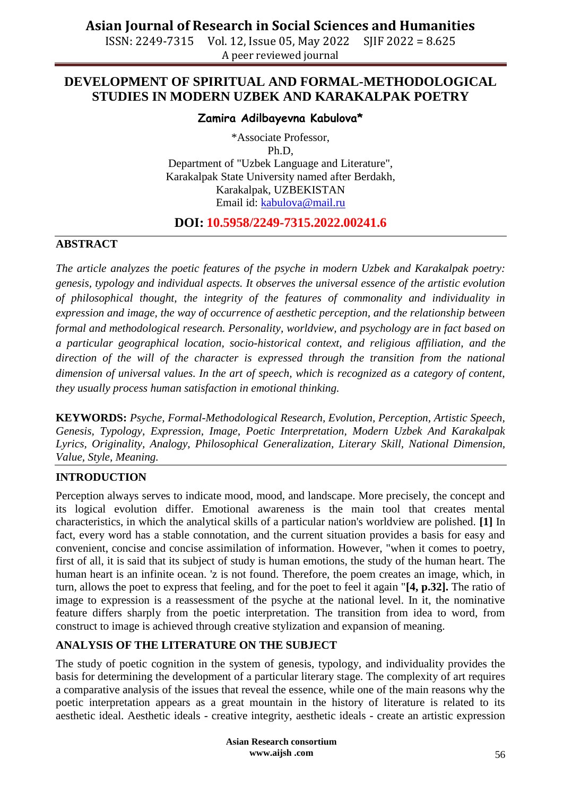ISSN: 2249-7315 Vol. 12, Issue 05, May 2022 SJIF 2022 = 8.625 A peer reviewed journal

## **DEVELOPMENT OF SPIRITUAL AND FORMAL-METHODOLOGICAL STUDIES IN MODERN UZBEK AND KARAKALPAK POETRY**

#### **Zamira Adilbayevna Kabulova\***

\*Associate Professor, Ph.D, Department of "Uzbek Language and Literature", Karakalpak State University named after Berdakh, Karakalpak, UZBEKISTAN Email id: [kabulova@mail.ru](mailto:kabulova@mail.ru)

### **DOI: 10.5958/2249-7315.2022.00241.6**

#### **ABSTRACT**

*The article analyzes the poetic features of the psyche in modern Uzbek and Karakalpak poetry: genesis, typology and individual aspects. It observes the universal essence of the artistic evolution of philosophical thought, the integrity of the features of commonality and individuality in expression and image, the way of occurrence of aesthetic perception, and the relationship between formal and methodological research. Personality, worldview, and psychology are in fact based on a particular geographical location, socio-historical context, and religious affiliation, and the direction of the will of the character is expressed through the transition from the national dimension of universal values. In the art of speech, which is recognized as a category of content, they usually process human satisfaction in emotional thinking.*

**KEYWORDS:** *Psyche, Formal-Methodological Research, Evolution, Perception, Artistic Speech, Genesis, Typology, Expression, Image, Poetic Interpretation, Modern Uzbek And Karakalpak Lyrics, Originality, Analogy, Philosophical Generalization, Literary Skill, National Dimension, Value, Style, Meaning.*

### **INTRODUCTION**

Perception always serves to indicate mood, mood, and landscape. More precisely, the concept and its logical evolution differ. Emotional awareness is the main tool that creates mental characteristics, in which the analytical skills of a particular nation's worldview are polished. **[1]** In fact, every word has a stable connotation, and the current situation provides a basis for easy and convenient, concise and concise assimilation of information. However, "when it comes to poetry, first of all, it is said that its subject of study is human emotions, the study of the human heart. The human heart is an infinite ocean. 'z is not found. Therefore, the poem creates an image, which, in turn, allows the poet to express that feeling, and for the poet to feel it again "**[4, p.32].** The ratio of image to expression is a reassessment of the psyche at the national level. In it, the nominative feature differs sharply from the poetic interpretation. The transition from idea to word, from construct to image is achieved through creative stylization and expansion of meaning.

## **ANALYSIS OF THE LITERATURE ON THE SUBJECT**

The study of poetic cognition in the system of genesis, typology, and individuality provides the basis for determining the development of a particular literary stage. The complexity of art requires a comparative analysis of the issues that reveal the essence, while one of the main reasons why the poetic interpretation appears as a great mountain in the history of literature is related to its aesthetic ideal. Aesthetic ideals - creative integrity, aesthetic ideals - create an artistic expression

> **Asian Research consortium www.aijsh .com**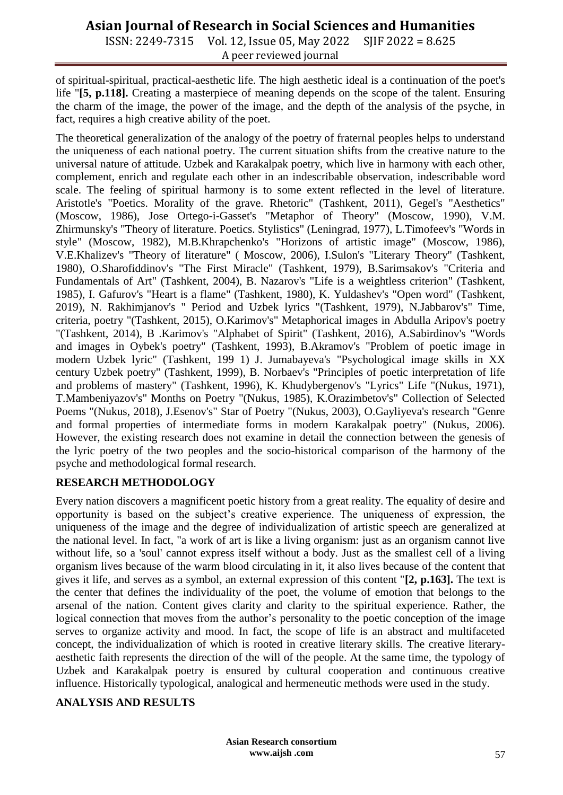# **Asian Journal of Research in Social Sciences and Humanities**

ISSN: 2249-7315 Vol. 12, Issue 05, May 2022 SJIF 2022 = 8.625 A peer reviewed journal

of spiritual-spiritual, practical-aesthetic life. The high aesthetic ideal is a continuation of the poet's life "**[5, p.118].** Creating a masterpiece of meaning depends on the scope of the talent. Ensuring the charm of the image, the power of the image, and the depth of the analysis of the psyche, in fact, requires a high creative ability of the poet.

The theoretical generalization of the analogy of the poetry of fraternal peoples helps to understand the uniqueness of each national poetry. The current situation shifts from the creative nature to the universal nature of attitude. Uzbek and Karakalpak poetry, which live in harmony with each other, complement, enrich and regulate each other in an indescribable observation, indescribable word scale. The feeling of spiritual harmony is to some extent reflected in the level of literature. Aristotle's "Poetics. Morality of the grave. Rhetoric" (Tashkent, 2011), Gegel's "Aesthetics" (Moscow, 1986), Jose Ortego-i-Gasset's "Metaphor of Theory" (Moscow, 1990), V.M. Zhirmunsky's "Theory of literature. Poetics. Stylistics" (Leningrad, 1977), L.Timofeev's "Words in style" (Moscow, 1982), M.B.Khrapchenko's "Horizons of artistic image" (Moscow, 1986), V.E.Khalizev's "Theory of literature" ( Moscow, 2006), I.Sulon's "Literary Theory" (Tashkent, 1980), O.Sharofiddinov's "The First Miracle" (Tashkent, 1979), B.Sarimsakov's "Criteria and Fundamentals of Art" (Tashkent, 2004), B. Nazarov's "Life is a weightless criterion" (Tashkent, 1985), I. Gafurov's "Heart is a flame" (Tashkent, 1980), K. Yuldashev's "Open word" (Tashkent, 2019), N. Rakhimjanov's " Period and Uzbek lyrics "(Tashkent, 1979), N.Jabbarov's" Time, criteria, poetry "(Tashkent, 2015), O.Karimov's" Metaphorical images in Abdulla Aripov's poetry "(Tashkent, 2014), B .Karimov's "Alphabet of Spirit" (Tashkent, 2016), A.Sabirdinov's "Words and images in Oybek's poetry" (Tashkent, 1993), B.Akramov's "Problem of poetic image in modern Uzbek lyric" (Tashkent, 199 1) J. Jumabayeva's "Psychological image skills in XX century Uzbek poetry" (Tashkent, 1999), B. Norbaev's "Principles of poetic interpretation of life and problems of mastery" (Tashkent, 1996), K. Khudybergenov's "Lyrics" Life "(Nukus, 1971), T.Mambeniyazov's" Months on Poetry "(Nukus, 1985), K.Orazimbetov's" Collection of Selected Poems "(Nukus, 2018), J.Esenov's" Star of Poetry "(Nukus, 2003), O.Gayliyeva's research "Genre and formal properties of intermediate forms in modern Karakalpak poetry" (Nukus, 2006). However, the existing research does not examine in detail the connection between the genesis of the lyric poetry of the two peoples and the socio-historical comparison of the harmony of the psyche and methodological formal research.

### **RESEARCH METHODOLOGY**

Every nation discovers a magnificent poetic history from a great reality. The equality of desire and opportunity is based on the subject's creative experience. The uniqueness of expression, the uniqueness of the image and the degree of individualization of artistic speech are generalized at the national level. In fact, "a work of art is like a living organism: just as an organism cannot live without life, so a 'soul' cannot express itself without a body. Just as the smallest cell of a living organism lives because of the warm blood circulating in it, it also lives because of the content that gives it life, and serves as a symbol, an external expression of this content "**[2, p.163].** The text is the center that defines the individuality of the poet, the volume of emotion that belongs to the arsenal of the nation. Content gives clarity and clarity to the spiritual experience. Rather, the logical connection that moves from the author's personality to the poetic conception of the image serves to organize activity and mood. In fact, the scope of life is an abstract and multifaceted concept, the individualization of which is rooted in creative literary skills. The creative literaryaesthetic faith represents the direction of the will of the people. At the same time, the typology of Uzbek and Karakalpak poetry is ensured by cultural cooperation and continuous creative influence. Historically typological, analogical and hermeneutic methods were used in the study.

#### **ANALYSIS AND RESULTS**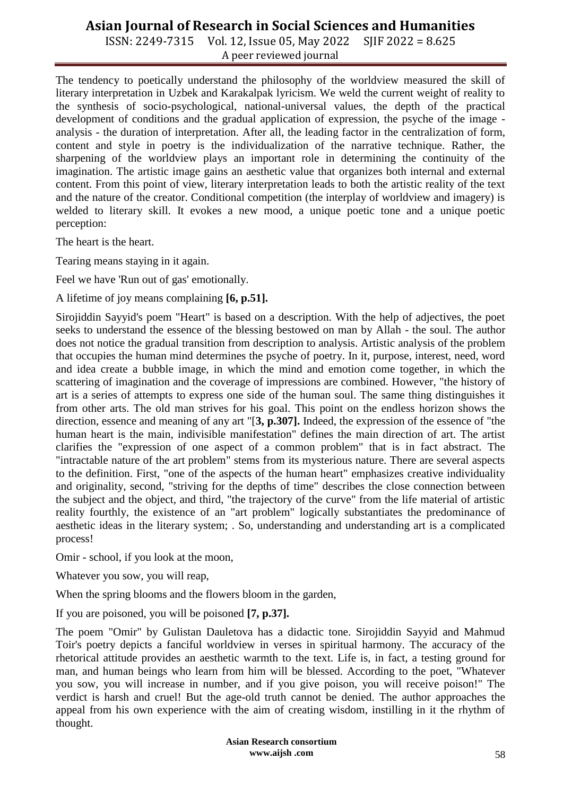# **Asian Journal of Research in Social Sciences and Humanities**

ISSN: 2249-7315 Vol. 12, Issue 05, May 2022 SJIF 2022 = 8.625 A peer reviewed journal

The tendency to poetically understand the philosophy of the worldview measured the skill of literary interpretation in Uzbek and Karakalpak lyricism. We weld the current weight of reality to the synthesis of socio-psychological, national-universal values, the depth of the practical development of conditions and the gradual application of expression, the psyche of the image analysis - the duration of interpretation. After all, the leading factor in the centralization of form, content and style in poetry is the individualization of the narrative technique. Rather, the sharpening of the worldview plays an important role in determining the continuity of the imagination. The artistic image gains an aesthetic value that organizes both internal and external content. From this point of view, literary interpretation leads to both the artistic reality of the text and the nature of the creator. Conditional competition (the interplay of worldview and imagery) is welded to literary skill. It evokes a new mood, a unique poetic tone and a unique poetic perception:

The heart is the heart.

Tearing means staying in it again.

Feel we have 'Run out of gas' emotionally.

A lifetime of joy means complaining **[6, p.51].**

Sirojiddin Sayyid's poem "Heart" is based on a description. With the help of adjectives, the poet seeks to understand the essence of the blessing bestowed on man by Allah - the soul. The author does not notice the gradual transition from description to analysis. Artistic analysis of the problem that occupies the human mind determines the psyche of poetry. In it, purpose, interest, need, word and idea create a bubble image, in which the mind and emotion come together, in which the scattering of imagination and the coverage of impressions are combined. However, "the history of art is a series of attempts to express one side of the human soul. The same thing distinguishes it from other arts. The old man strives for his goal. This point on the endless horizon shows the direction, essence and meaning of any art "[**3, p.307].** Indeed, the expression of the essence of "the human heart is the main, indivisible manifestation" defines the main direction of art. The artist clarifies the "expression of one aspect of a common problem" that is in fact abstract. The "intractable nature of the art problem" stems from its mysterious nature. There are several aspects to the definition. First, "one of the aspects of the human heart" emphasizes creative individuality and originality, second, "striving for the depths of time" describes the close connection between the subject and the object, and third, "the trajectory of the curve" from the life material of artistic reality fourthly, the existence of an "art problem" logically substantiates the predominance of aesthetic ideas in the literary system; . So, understanding and understanding art is a complicated process!

Omir - school, if you look at the moon,

Whatever you sow, you will reap,

When the spring blooms and the flowers bloom in the garden,

If you are poisoned, you will be poisoned **[7, p.37].**

The poem "Omir" by Gulistan Dauletova has a didactic tone. Sirojiddin Sayyid and Mahmud Toir's poetry depicts a fanciful worldview in verses in spiritual harmony. The accuracy of the rhetorical attitude provides an aesthetic warmth to the text. Life is, in fact, a testing ground for man, and human beings who learn from him will be blessed. According to the poet, "Whatever you sow, you will increase in number, and if you give poison, you will receive poison!" The verdict is harsh and cruel! But the age-old truth cannot be denied. The author approaches the appeal from his own experience with the aim of creating wisdom, instilling in it the rhythm of thought.

> **Asian Research consortium www.aijsh .com**